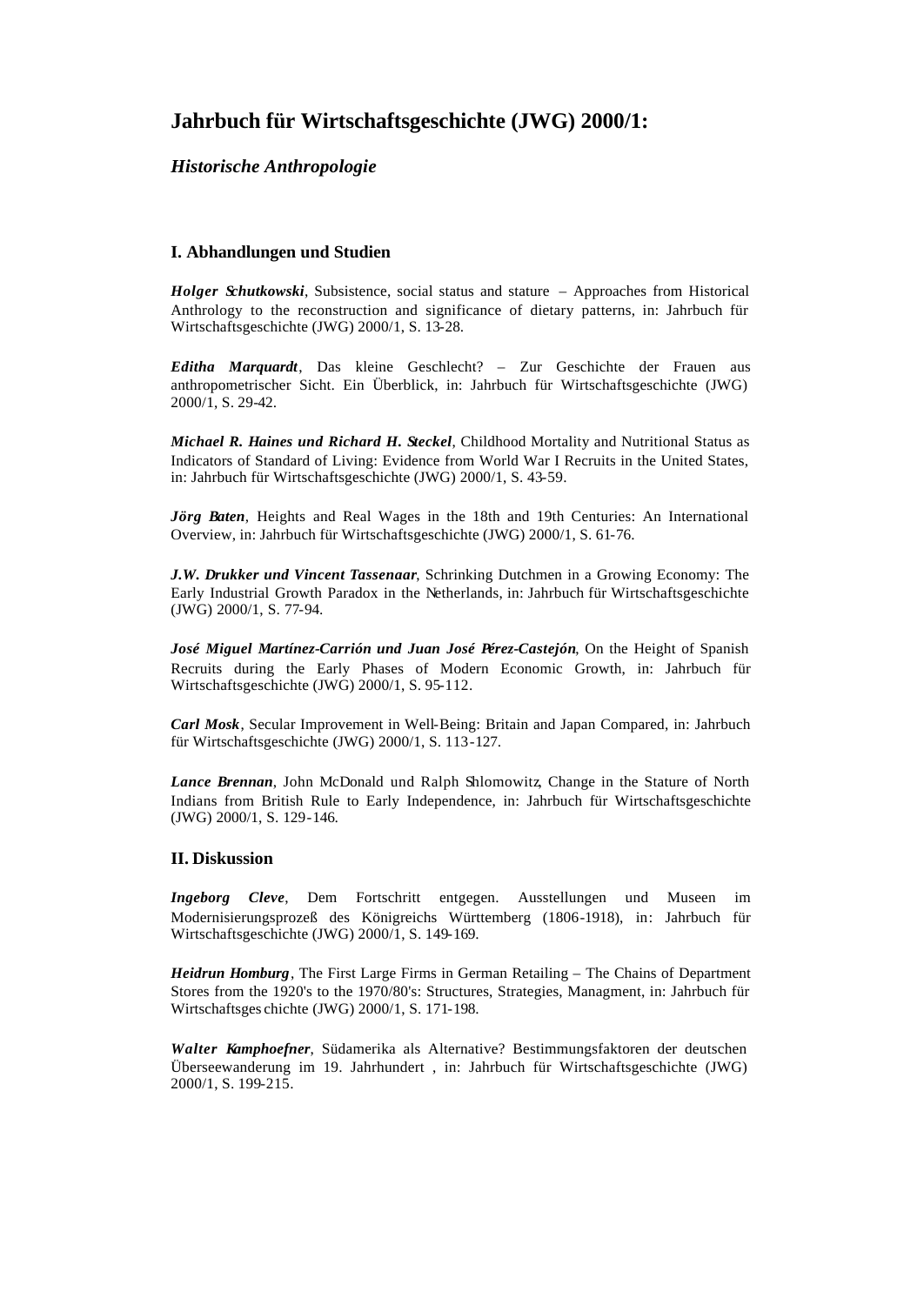# **Jahrbuch für Wirtschaftsgeschichte (JWG) 2000/1:**

## *Historische Anthropologie*

### **I. Abhandlungen und Studien**

*Holger Schutkowski*, Subsistence, social status and stature – Approaches from Historical Anthrology to the reconstruction and significance of dietary patterns, in: Jahrbuch für Wirtschaftsgeschichte (JWG) 2000/1, S. 13-28.

*Editha Marquardt*, Das kleine Geschlecht? – Zur Geschichte der Frauen aus anthropometrischer Sicht. Ein Überblick, in: Jahrbuch für Wirtschaftsgeschichte (JWG) 2000/1, S. 29-42.

*Michael R. Haines und Richard H. Steckel*, Childhood Mortality and Nutritional Status as Indicators of Standard of Living: Evidence from World War I Recruits in the United States, in: Jahrbuch für Wirtschaftsgeschichte (JWG) 2000/1, S. 43-59.

*Jörg Baten*, Heights and Real Wages in the 18th and 19th Centuries: An International Overview, in: Jahrbuch für Wirtschaftsgeschichte (JWG) 2000/1, S. 61-76.

*J.W. Drukker und Vincent Tassenaar*, Schrinking Dutchmen in a Growing Economy: The Early Industrial Growth Paradox in the Netherlands, in: Jahrbuch für Wirtschaftsgeschichte (JWG) 2000/1, S. 77-94.

*José Miguel Martínez-Carrión und Juan José Pérez-Castejón*, On the Height of Spanish Recruits during the Early Phases of Modern Economic Growth, in: Jahrbuch für Wirtschaftsgeschichte (JWG) 2000/1, S. 95-112.

*Carl Mosk*, Secular Improvement in Well-Being: Britain and Japan Compared, in: Jahrbuch für Wirtschaftsgeschichte (JWG) 2000/1, S. 113-127.

*Lance Brennan*, John McDonald und Ralph Shlomowitz, Change in the Stature of North Indians from British Rule to Early Independence, in: Jahrbuch für Wirtschaftsgeschichte (JWG) 2000/1, S. 129-146.

#### **II. Diskussion**

*Ingeborg Cleve*, Dem Fortschritt entgegen. Ausstellungen und Museen im Modernisierungsprozeß des Königreichs Württemberg (1806-1918), in: Jahrbuch für Wirtschaftsgeschichte (JWG) 2000/1, S. 149-169.

*Heidrun Homburg*, The First Large Firms in German Retailing – The Chains of Department Stores from the 1920's to the 1970/80's: Structures, Strategies, Managment, in: Jahrbuch für Wirtschaftsges chichte (JWG) 2000/1, S. 171-198.

*Walter Kamphoefner*, Südamerika als Alternative? Bestimmungsfaktoren der deutschen Überseewanderung im 19. Jahrhundert , in: Jahrbuch für Wirtschaftsgeschichte (JWG) 2000/1, S. 199-215.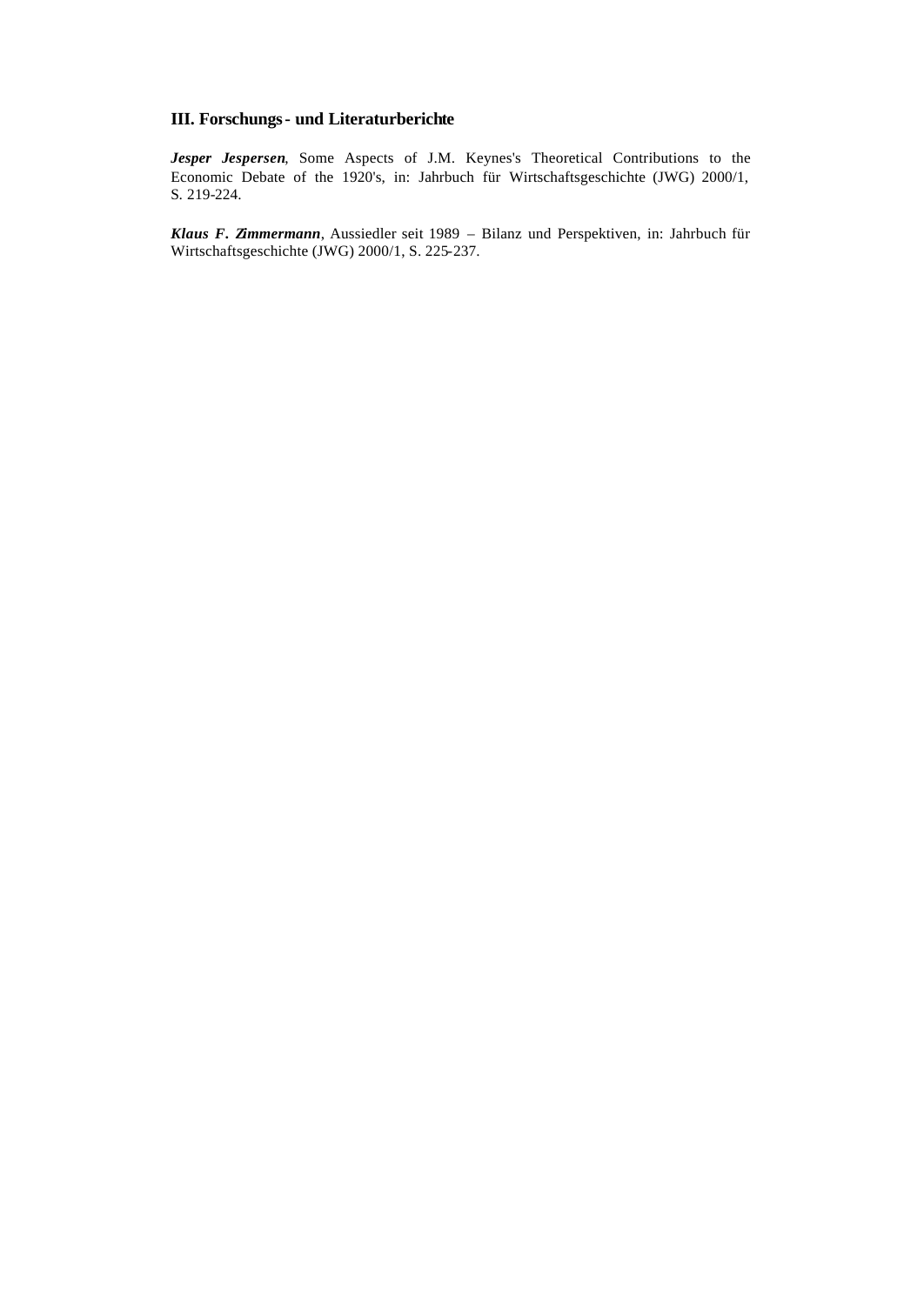### **III. Forschungs- und Literaturberichte**

*Jesper Jespersen*, Some Aspects of J.M. Keynes's Theoretical Contributions to the Economic Debate of the 1920's, in: Jahrbuch für Wirtschaftsgeschichte (JWG) 2000/1, S. 219-224.

*Klaus F. Zimmermann*, Aussiedler seit 1989 – Bilanz und Perspektiven, in: Jahrbuch für Wirtschaftsgeschichte (JWG) 2000/1, S. 225-237.